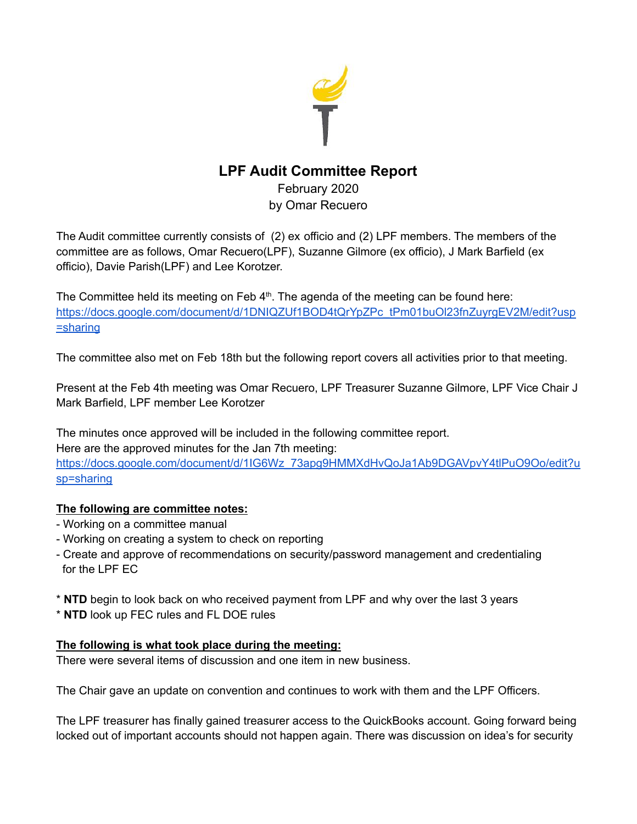

## **LPF Audit Committee Report**

February 2020 by Omar Recuero

The Audit committee currently consists of (2) ex officio and (2) LPF members. The members of the committee are as follows, Omar Recuero(LPF), Suzanne Gilmore (ex officio), J Mark Barfield (ex officio), Davie Parish(LPF) and Lee Korotzer.

The Committee held its meeting on Feb  $4<sup>th</sup>$ . The agenda of the meeting can be found here: [https://docs.google.com/document/d/1DNIQZUf1BOD4tQrYpZPc\\_tPm01buOl23fnZuyrgEV2M/edit?usp](https://docs.google.com/document/d/1DNIQZUf1BOD4tQrYpZPc_tPm01buOl23fnZuyrgEV2M/edit?usp=sharing) [=sharing](https://docs.google.com/document/d/1DNIQZUf1BOD4tQrYpZPc_tPm01buOl23fnZuyrgEV2M/edit?usp=sharing)

The committee also met on Feb 18th but the following report covers all activities prior to that meeting.

Present at the Feb 4th meeting was Omar Recuero, LPF Treasurer Suzanne Gilmore, LPF Vice Chair J Mark Barfield, LPF member Lee Korotzer

The minutes once approved will be included in the following committee report. Here are the approved minutes for the Jan 7th meeting: [https://docs.google.com/document/d/1IG6Wz\\_73apg9HMMXdHvQoJa1Ab9DGAVpvY4tlPuO9Oo/edit?u](https://docs.google.com/document/d/1IG6Wz_73apg9HMMXdHvQoJa1Ab9DGAVpvY4tlPuO9Oo/edit?usp=sharing) [sp=sharing](https://docs.google.com/document/d/1IG6Wz_73apg9HMMXdHvQoJa1Ab9DGAVpvY4tlPuO9Oo/edit?usp=sharing)

## **The following are committee notes:**

- Working on a committee manual
- Working on creating a system to check on reporting
- Create and approve of recommendations on security/password management and credentialing for the LPF EC
- \* **NTD** begin to look back on who received payment from LPF and why over the last 3 years
- \* **NTD** look up FEC rules and FL DOE rules

## **The following is what took place during the meeting:**

There were several items of discussion and one item in new business.

The Chair gave an update on convention and continues to work with them and the LPF Officers.

The LPF treasurer has finally gained treasurer access to the QuickBooks account. Going forward being locked out of important accounts should not happen again. There was discussion on idea's for security